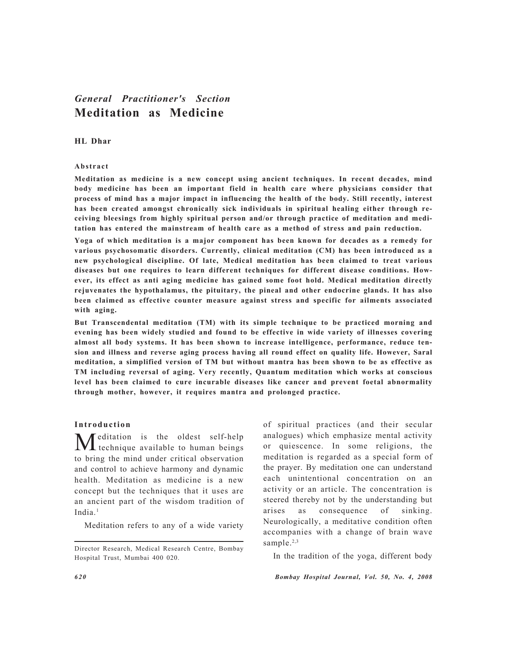# *General Practitioner's Section* **Meditation as Medicine**

# **HL Dhar**

#### **Abstract**

**Meditation as medicine is a new concept using ancient techniques. In recent decades, mind body medicine has been an important field in health care where physicians consider that process of mind has a major impact in influencing the health of the body. Still recently, interest has been created amongst chronically sick individuals in spiritual healing either through receiving bleesings from highly spiritual person and/or through practice of meditation and meditation has entered the mainstream of health care as a method of stress and pain reduction.**

**Yoga of which meditation is a major component has been known for decades as a remedy for various psychosomatic disorders. Currently, clinical meditation (CM) has been introduced as a new psychological discipline. Of late, Medical meditation has been claimed to treat various diseases but one requires to learn different techniques for different disease conditions. However, its effect as anti aging medicine has gained some foot hold. Medical meditation directly rejuvenates the hypothalamus, the pituitary, the pineal and other endocrine glands. It has also been claimed as effective counter measure against stress and specific for ailments associated with aging.**

**But Transcendental meditation (TM) with its simple technique to be practiced morning and evening has been widely studied and found to be effective in wide variety of illnesses covering almost all body systems. It has been shown to increase intelligence, performance, reduce tension and illness and reverse aging process having all round effect on quality life. However, Saral meditation, a simplified version of TM but without mantra has been shown to be as effective as TM including reversal of aging. Very recently, Quantum meditation which works at conscious level has been claimed to cure incurable diseases like cancer and prevent foetal abnormality through mother, however, it requires mantra and prolonged practice.**

#### **Introduction**

Meditation is the oldest self-help technique available to human beings to bring the mind under critical observation and control to achieve harmony and dynamic health. Meditation as medicine is a new concept but the techniques that it uses are an ancient part of the wisdom tradition of India<sup>1</sup>

Meditation refers to any of a wide variety

of spiritual practices (and their secular analogues) which emphasize mental activity or quiescence. In some religions, the meditation is regarded as a special form of the prayer. By meditation one can understand each unintentional concentration on an activity or an article. The concentration is steered thereby not by the understanding but arises as consequence of sinking. Neurologically, a meditative condition often accompanies with a change of brain wave sample.<sup>2,3</sup>

In the tradition of the yoga, different body

*620 Bombay Hospital Journal, Vol. 50, No. 4, 2008*

Director Research, Medical Research Centre, Bombay Hospital Trust, Mumbai 400 020.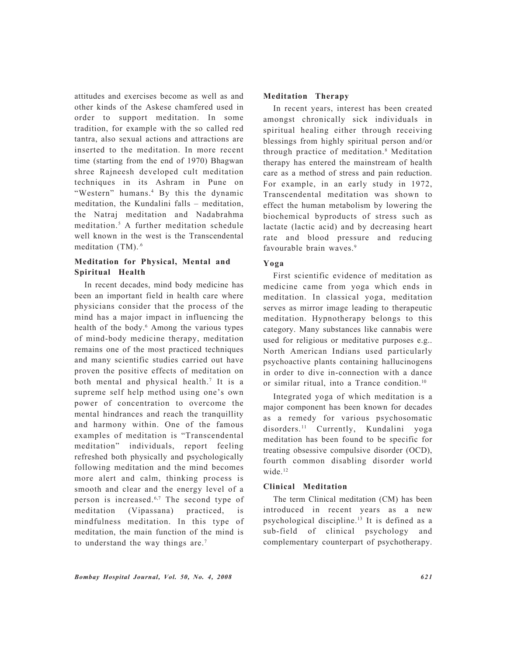attitudes and exercises become as well as and other kinds of the Askese chamfered used in order to support meditation. In some tradition, for example with the so called red tantra, also sexual actions and attractions are inserted to the meditation. In more recent time (starting from the end of 1970) Bhagwan shree Rajneesh developed cult meditation techniques in its Ashram in Pune on "Western" humans.<sup>4</sup> By this the dynamic meditation, the Kundalini falls – meditation, the Natraj meditation and Nadabrahma meditation.5 A further meditation schedule well known in the west is the Transcendental meditation (TM).<sup>6</sup>

# **Meditation for Physical, Mental and Spiritual Health**

In recent decades, mind body medicine has been an important field in health care where physicians consider that the process of the mind has a major impact in influencing the health of the body.<sup>6</sup> Among the various types of mind-body medicine therapy, meditation remains one of the most practiced techniques and many scientific studies carried out have proven the positive effects of meditation on both mental and physical health.7 It is a supreme self help method using one's own power of concentration to overcome the mental hindrances and reach the tranquillity and harmony within. One of the famous examples of meditation is "Transcendental meditation" individuals, report feeling refreshed both physically and psychologically following meditation and the mind becomes more alert and calm, thinking process is smooth and clear and the energy level of a person is increased.6,7 The second type of meditation (Vipassana) practiced, is mindfulness meditation. In this type of meditation, the main function of the mind is to understand the way things are.<sup>7</sup>

#### **Meditation Therapy**

In recent years, interest has been created amongst chronically sick individuals in spiritual healing either through receiving blessings from highly spiritual person and/or through practice of meditation.<sup>8</sup> Meditation therapy has entered the mainstream of health care as a method of stress and pain reduction. For example, in an early study in 1972, Transcendental meditation was shown to effect the human metabolism by lowering the biochemical byproducts of stress such as lactate (lactic acid) and by decreasing heart rate and blood pressure and reducing favourable brain waves.<sup>9</sup>

# **Yoga**

First scientific evidence of meditation as medicine came from yoga which ends in meditation. In classical yoga, meditation serves as mirror image leading to therapeutic meditation. Hypnotherapy belongs to this category. Many substances like cannabis were used for religious or meditative purposes e.g.. North American Indians used particularly psychoactive plants containing hallucinogens in order to dive in-connection with a dance or similar ritual, into a Trance condition.10

Integrated yoga of which meditation is a major component has been known for decades as a remedy for various psychosomatic disorders.<sup>11</sup> Currently, Kundalini yoga meditation has been found to be specific for treating obsessive compulsive disorder (OCD), fourth common disabling disorder world wide.<sup>12</sup>

# **Clinical Meditation**

The term Clinical meditation (CM) has been introduced in recent years as a new psychological discipline.13 It is defined as a sub-field of clinical psychology and complementary counterpart of psychotherapy.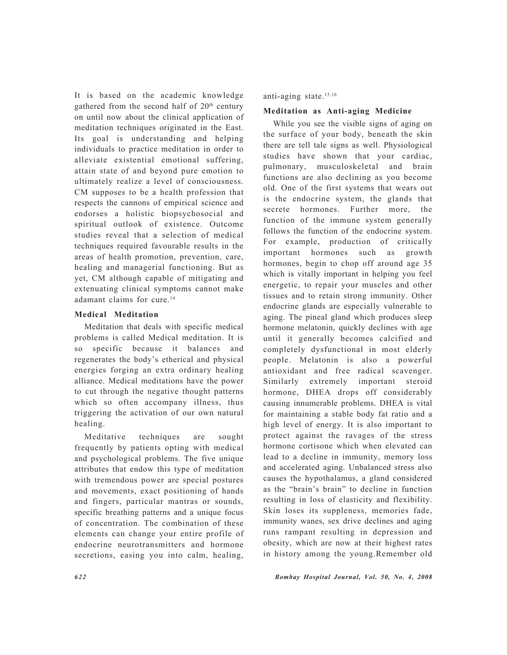It is based on the academic knowledge gathered from the second half of 20<sup>th</sup> century on until now about the clinical application of meditation techniques originated in the East. Its goal is understanding and helping individuals to practice meditation in order to alleviate existential emotional suffering, attain state of and beyond pure emotion to ultimately realize a level of consciousness. CM supposes to be a health profession that respects the cannons of empirical science and endorses a holistic biopsychosocial and spiritual outlook of existence. Outcome studies reveal that a selection of medical techniques required favourable results in the areas of health promotion, prevention, care, healing and managerial functioning. But as yet, CM although capable of mitigating and extenuating clinical symptoms cannot make adamant claims for cure.<sup>14</sup>

# **Medical Meditation**

Meditation that deals with specific medical problems is called Medical meditation. It is so specific because it balances and regenerates the body's etherical and physical energies forging an extra ordinary healing alliance. Medical meditations have the power to cut through the negative thought patterns which so often accompany illness, thus triggering the activation of our own natural healing.

Meditative techniques are sought frequently by patients opting with medical and psychological problems. The five unique attributes that endow this type of meditation with tremendous power are special postures and movements, exact positioning of hands and fingers, particular mantras or sounds, specific breathing patterns and a unique focus of concentration. The combination of these elements can change your entire profile of endocrine neurotransmitters and hormone secretions, easing you into calm, healing,

anti-aging state.15,16

#### **Meditation as Anti-aging Medicine**

While you see the visible signs of aging on the surface of your body, beneath the skin there are tell tale signs as well. Physiological studies have shown that your cardiac, pulmonary, musculoskeletal and brain functions are also declining as you become old. One of the first systems that wears out is the endocrine system, the glands that secrete hormones. Further more, the function of the immune system generally follows the function of the endocrine system. For example, production of critically important hormones such as growth hormones, begin to chop off around age 35 which is vitally important in helping you feel energetic, to repair your muscles and other tissues and to retain strong immunity. Other endocrine glands are especially vulnerable to aging. The pineal gland which produces sleep hormone melatonin, quickly declines with age until it generally becomes calcified and completely dysfunctional in most elderly people. Melatonin is also a powerful antioxidant and free radical scavenger. Similarly extremely important steroid hormone, DHEA drops off considerably causing innumerable problems. DHEA is vital for maintaining a stable body fat ratio and a high level of energy. It is also important to protect against the ravages of the stress hormone cortisone which when elevated can lead to a decline in immunity, memory loss and accelerated aging. Unbalanced stress also causes the hypothalamus, a gland considered as the "brain's brain" to decline in function resulting in loss of elasticity and flexibility. Skin loses its suppleness, memories fade, immunity wanes, sex drive declines and aging runs rampant resulting in depression and obesity, which are now at their highest rates in history among the young.Remember old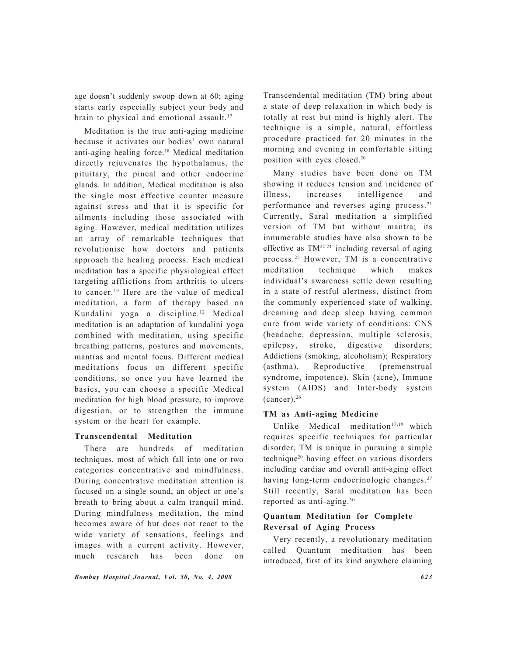age doesn't suddenly swoop down at 60; aging starts early especially subject your body and brain to physical and emotional assault.<sup>17</sup>

Meditation is the true anti-aging medicine because it activates our bodies' own natural anti-aging healing force.18 Medical meditation directly rejuvenates the hypothalamus, the pituitary, the pineal and other endocrine glands. In addition, Medical meditation is also the single most effective counter measure against stress and that it is specific for ailments including those associated with aging. However, medical meditation utilizes an array of remarkable techniques that revolutionise how doctors and patients approach the healing process. Each medical meditation has a specific physiological effect targeting afflictions from arthritis to ulcers to cancer.19 Here are the value of medical meditation, a form of therapy based on Kundalini yoga a discipline.12 Medical meditation is an adaptation of kundalini yoga combined with meditation, using specific breathing patterns, postures and movements, mantras and mental focus. Different medical meditations focus on different specific conditions, so once you have learned the basics, you can choose a specific Medical meditation for high blood pressure, to improve digestion, or to strengthen the immune system or the heart for example.

#### **Transcendental Meditation**

There are hundreds of meditation techniques, most of which fall into one or two categories concentrative and mindfulness. During concentrative meditation attention is focused on a single sound, an object or one's breath to bring about a calm tranquil mind. During mindfulness meditation, the mind becomes aware of but does not react to the wide variety of sensations, feelings and images with a current activity. However, much research has been done on Transcendental meditation (TM) bring about a state of deep relaxation in which body is totally at rest but mind is highly alert. The technique is a simple, natural, effortless procedure practiced for 20 minutes in the morning and evening in comfortable sitting position with eyes closed.20

Many studies have been done on TM showing it reduces tension and incidence of illness, increases intelligence and performance and reverses aging process.<sup>21</sup> Currently, Saral meditation a simplified version of TM but without mantra; its innumerable studies have also shown to be effective as  $TM^{22-24}$  including reversal of aging process.25 However, TM is a concentrative meditation technique which makes individual's awareness settle down resulting in a state of restful alertness, distinct from the commonly experienced state of walking, dreaming and deep sleep having common cure from wide variety of conditions: CNS (headache, depression, multiple sclerosis, epilepsy, stroke, digestive disorders; Addictions (smoking, alcoholism); Respiratory (asthma), Reproductive (premenstrual syndrome, impotence), Skin (acne), Immune system (AIDS) and Inter-body system (cancer).26

# **TM as Anti-aging Medicine**

Unlike Medical meditation $17,19$  which requires specific techniques for particular disorder, TM is unique in pursuing a simple technique20 having effect on various disorders including cardiac and overall anti-aging effect having long-term endocrinologic changes.<sup>27</sup> Still recently, Saral meditation has been reported as anti-aging.30

# **Quantum Meditation for Complete Reversal of Aging Process**

Very recently, a revolutionary meditation called Quantum meditation has been introduced, first of its kind anywhere claiming

*Bombay Hospital Journal, Vol. 50, No. 4, 2008 623*